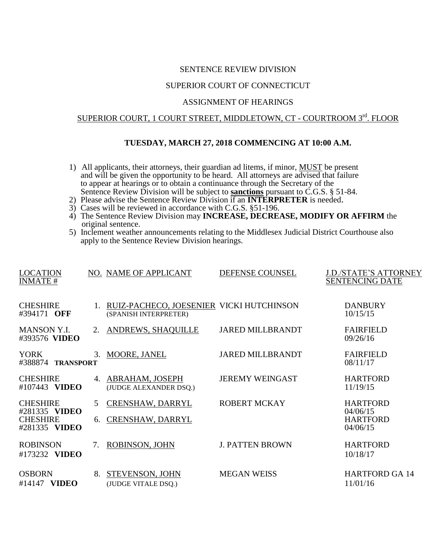## SENTENCE REVIEW DIVISION

## SUPERIOR COURT OF CONNECTICUT

#### ASSIGNMENT OF HEARINGS

# SUPERIOR COURT, 1 COURT STREET, MIDDLETOWN, CT - COURTROOM 3rd. FLOOR

## **TUESDAY, MARCH 27, 2018 COMMENCING AT 10:00 A.M.**

- 1) All applicants, their attorneys, their guardian ad litems, if minor, MUST be present and will be given the opportunity to be heard. All attorneys are advised that failure to appear at hearings or to obtain a continuance through the Secretary of the Sentence Review Division will be subject to **sanctions** pursuant to C.G.S. § 51-84.
- 2) Please advise the Sentence Review Division if an **INTERPRETER** is needed.
- 3) Cases will be reviewed in accordance with C.G.S. §51-196.
- 4) The Sentence Review Division may **INCREASE, DECREASE, MODIFY OR AFFIRM** the original sentence.
- 5) Inclement weather announcements relating to the Middlesex Judicial District Courthouse also apply to the Sentence Review Division hearings.

| <b>LOCATION</b><br><b>INMATE#</b>                                    |         | NO. NAME OF APPLICANT                                                | DEFENSE COUNSEL         | <b>J.D./STATE'S ATTORNEY</b><br><b>SENTENCING DATE</b>     |
|----------------------------------------------------------------------|---------|----------------------------------------------------------------------|-------------------------|------------------------------------------------------------|
| <b>CHESHIRE</b><br>#394171 OFF                                       |         | 1. RUIZ-PACHECO, JOESENIER VICKI HUTCHINSON<br>(SPANISH INTERPRETER) |                         | <b>DANBURY</b><br>10/15/15                                 |
| <b>MANSON Y.I.</b><br>#393576 VIDEO                                  | $2_{1}$ | ANDREWS, SHAQUILLE                                                   | <b>JARED MILLBRANDT</b> | <b>FAIRFIELD</b><br>09/26/16                               |
| <b>YORK</b><br>#388874 TRANSPORT                                     | 3.      | MOORE, JANEL                                                         | <b>JARED MILLBRANDT</b> | <b>FAIRFIELD</b><br>08/11/17                               |
| <b>CHESHIRE</b><br>#107443 VIDEO                                     | 4.      | ABRAHAM, JOSEPH<br>(JUDGE ALEXANDER DSQ.)                            | <b>JEREMY WEINGAST</b>  | <b>HARTFORD</b><br>11/19/15                                |
| <b>CHESHIRE</b><br>#281335 VIDEO<br><b>CHESHIRE</b><br>#281335 VIDEO | 5<br>6. | CRENSHAW, DARRYL<br>CRENSHAW, DARRYL                                 | <b>ROBERT MCKAY</b>     | <b>HARTFORD</b><br>04/06/15<br><b>HARTFORD</b><br>04/06/15 |
| <b>ROBINSON</b><br>#173232 VIDEO                                     | 7.      | ROBINSON, JOHN                                                       | <b>J. PATTEN BROWN</b>  | <b>HARTFORD</b><br>10/18/17                                |
| <b>OSBORN</b><br><b>VIDEO</b><br>#14147                              | 8.      | STEVENSON, JOHN<br>(JUDGE VITALE DSQ.)                               | <b>MEGAN WEISS</b>      | <b>HARTFORD GA 14</b><br>11/01/16                          |